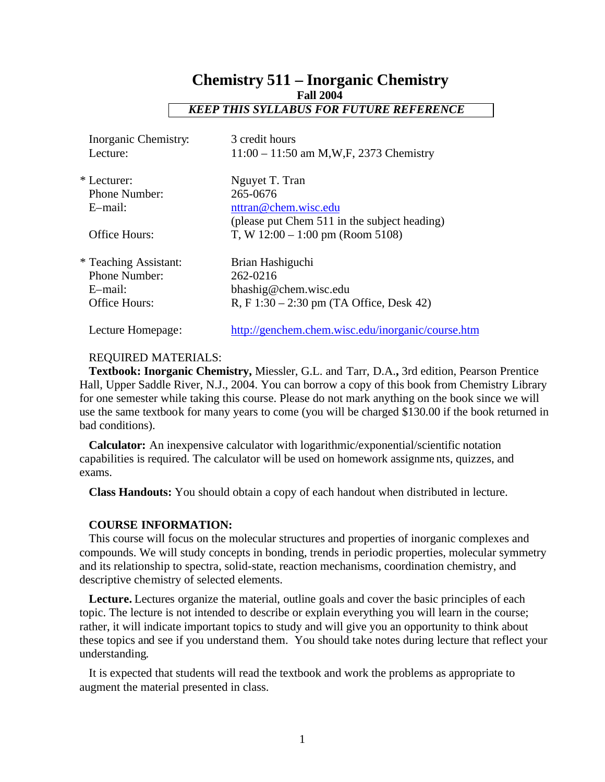# **Chemistry 511 – Inorganic Chemistry Fall 2004**  *KEEP THIS SYLLABUS FOR FUTURE REFERENCE*

| Inorganic Chemistry:  | 3 credit hours                                    |
|-----------------------|---------------------------------------------------|
| Lecture:              | $11:00 - 11:50$ am M,W,F, 2373 Chemistry          |
| * Lecturer:           | Nguyet T. Tran                                    |
| Phone Number:         | 265-0676                                          |
| E-mail:               | nttran@chem.wisc.edu                              |
|                       | (please put Chem 511 in the subject heading)      |
| Office Hours:         | T, W $12:00 - 1:00$ pm (Room 5108)                |
| * Teaching Assistant: | Brian Hashiguchi                                  |
| <b>Phone Number:</b>  | 262-0216                                          |
| E-mail:               | bhashig@chem.wisc.edu                             |
| Office Hours:         | R, F $1:30 - 2:30$ pm (TA Office, Desk 42)        |
| Lecture Homepage:     | http://genchem.chem.wisc.edu/inorganic/course.htm |

### REQUIRED MATERIALS:

**Textbook: Inorganic Chemistry,** Miessler, G.L. and Tarr, D.A.**,** 3rd edition, Pearson Prentice Hall, Upper Saddle River, N.J., 2004. You can borrow a copy of this book from Chemistry Library for one semester while taking this course. Please do not mark anything on the book since we will use the same textbook for many years to come (you will be charged \$130.00 if the book returned in bad conditions).

**Calculator:** An inexpensive calculator with logarithmic/exponential/scientific notation capabilities is required. The calculator will be used on homework assignme nts, quizzes, and exams.

**Class Handouts:** You should obtain a copy of each handout when distributed in lecture.

#### **COURSE INFORMATION:**

This course will focus on the molecular structures and properties of inorganic complexes and compounds. We will study concepts in bonding, trends in periodic properties, molecular symmetry and its relationship to spectra, solid-state, reaction mechanisms, coordination chemistry, and descriptive chemistry of selected elements.

**Lecture.** Lectures organize the material, outline goals and cover the basic principles of each topic. The lecture is not intended to describe or explain everything you will learn in the course; rather, it will indicate important topics to study and will give you an opportunity to think about these topics and see if you understand them. You should take notes during lecture that reflect your understanding.

It is expected that students will read the textbook and work the problems as appropriate to augment the material presented in class.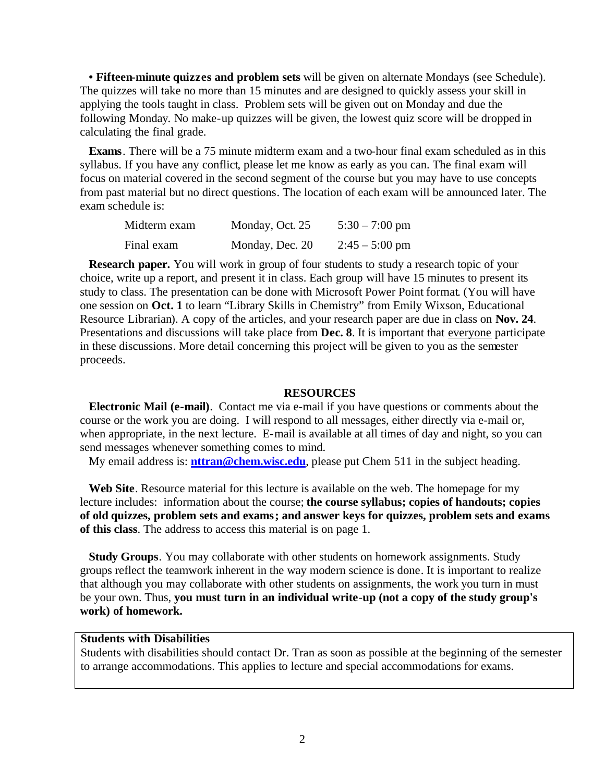**• Fifteen-minute quizzes and problem sets** will be given on alternate Mondays (see Schedule). The quizzes will take no more than 15 minutes and are designed to quickly assess your skill in applying the tools taught in class. Problem sets will be given out on Monday and due the following Monday. No make-up quizzes will be given, the lowest quiz score will be dropped in calculating the final grade.

**Exams**. There will be a 75 minute midterm exam and a two-hour final exam scheduled as in this syllabus. If you have any conflict, please let me know as early as you can. The final exam will focus on material covered in the second segment of the course but you may have to use concepts from past material but no direct questions. The location of each exam will be announced later. The exam schedule is:

| Midterm exam | Monday, Oct. 25 | $5:30 - 7:00$ pm |
|--------------|-----------------|------------------|
| Final exam   | Monday, Dec. 20 | $2:45 - 5:00$ pm |

**Research paper.** You will work in group of four students to study a research topic of your choice, write up a report, and present it in class. Each group will have 15 minutes to present its study to class. The presentation can be done with Microsoft Power Point format. (You will have one session on **Oct. 1** to learn "Library Skills in Chemistry" from Emily Wixson, Educational Resource Librarian). A copy of the articles, and your research paper are due in class on **Nov. 24**. Presentations and discussions will take place from **Dec. 8**. It is important that everyone participate in these discussions. More detail concerning this project will be given to you as the semester proceeds.

#### **RESOURCES**

**Electronic Mail (e-mail)**. Contact me via e-mail if you have questions or comments about the course or the work you are doing. I will respond to all messages, either directly via e-mail or, when appropriate, in the next lecture. E-mail is available at all times of day and night, so you can send messages whenever something comes to mind.

My email address is: **nttran@chem.wisc.edu**, please put Chem 511 in the subject heading.

**Web Site**. Resource material for this lecture is available on the web. The homepage for my lecture includes: information about the course; **the course syllabus; copies of handouts; copies of old quizzes, problem sets and exams; and answer keys for quizzes, problem sets and exams of this class**. The address to access this material is on page 1.

**Study Groups**. You may collaborate with other students on homework assignments. Study groups reflect the teamwork inherent in the way modern science is done. It is important to realize that although you may collaborate with other students on assignments, the work you turn in must be your own. Thus, **you must turn in an individual write**-**up (not a copy of the study group's work) of homework.**

## **Students with Disabilities**

Students with disabilities should contact Dr. Tran as soon as possible at the beginning of the semester to arrange accommodations. This applies to lecture and special accommodations for exams.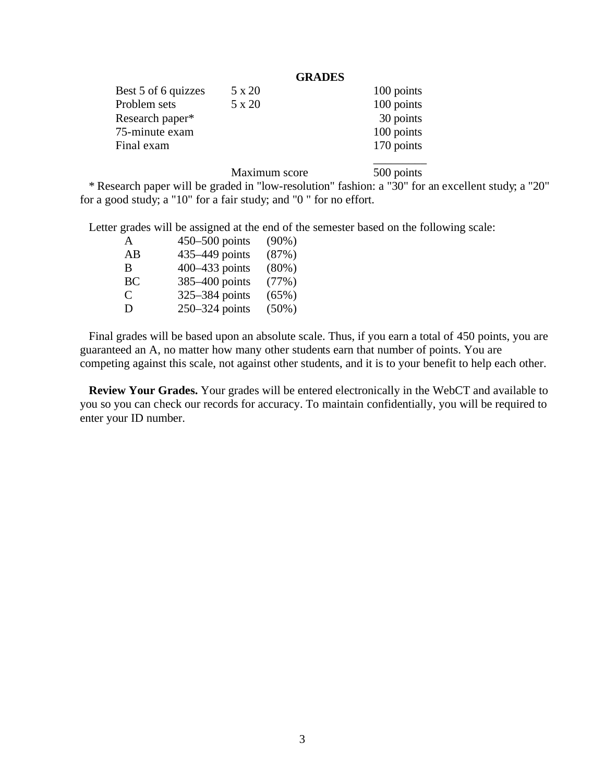# **GRADES**

| Best 5 of 6 quizzes | 5 x 20 | 100 points |
|---------------------|--------|------------|
| Problem sets        | 5 x 20 | 100 points |
| Research paper*     |        | 30 points  |
| 75-minute exam      |        | 100 points |
| Final exam          |        | 170 points |
|                     |        |            |

Maximum score 500 points

\* Research paper will be graded in "low-resolution" fashion: a "30" for an excellent study; a "20" for a good study; a "10" for a fair study; and "0 " for no effort.

Letter grades will be assigned at the end of the semester based on the following scale:

| A  | $450 - 500$ points | $(90\%)$ |
|----|--------------------|----------|
| AB | 435–449 points     | (87%)    |
| B  | 400–433 points     | $(80\%)$ |
| BC | 385-400 points     | (77%)    |
| C  | 325-384 points     | (65%)    |
| D  | 250–324 points     | $(50\%)$ |

Final grades will be based upon an absolute scale. Thus, if you earn a total of 450 points, you are guaranteed an A, no matter how many other students earn that number of points. You are competing against this scale, not against other students, and it is to your benefit to help each other.

**Review Your Grades.** Your grades will be entered electronically in the WebCT and available to you so you can check our records for accuracy. To maintain confidentially, you will be required to enter your ID number.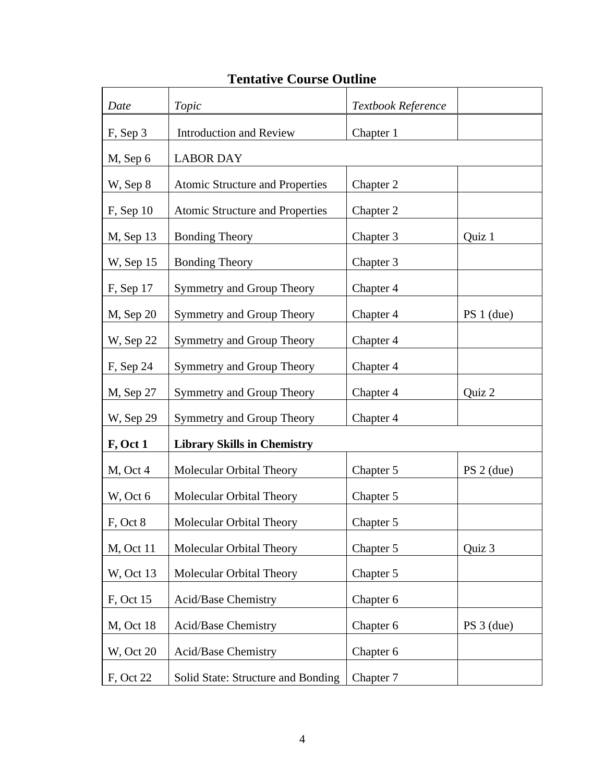# **Tentative Course Outline**

| Date              | Topic                                  | Textbook Reference |              |
|-------------------|----------------------------------------|--------------------|--------------|
| F, Sep 3          | <b>Introduction and Review</b>         | Chapter 1          |              |
| M, Sep 6          | <b>LABOR DAY</b>                       |                    |              |
| W, Sep 8          | <b>Atomic Structure and Properties</b> | Chapter 2          |              |
| $F$ , Sep 10      | <b>Atomic Structure and Properties</b> | Chapter 2          |              |
| $M$ , Sep 13      | <b>Bonding Theory</b>                  | Chapter 3          | Quiz 1       |
| W, Sep 15         | <b>Bonding Theory</b>                  | Chapter 3          |              |
| $F$ , Sep 17      | Symmetry and Group Theory              | Chapter 4          |              |
| $M$ , Sep 20      | Symmetry and Group Theory              | Chapter 4          | $PS 1$ (due) |
| W, Sep 22         | Symmetry and Group Theory              | Chapter 4          |              |
| $F$ , Sep 24      | Symmetry and Group Theory              | Chapter 4          |              |
| M, Sep 27         | Symmetry and Group Theory              | Chapter 4          | Quiz 2       |
| W, Sep 29         | Symmetry and Group Theory              | Chapter 4          |              |
| F, Oct 1          | <b>Library Skills in Chemistry</b>     |                    |              |
| $M$ , Oct 4       | Molecular Orbital Theory               | Chapter 5          | $PS 2$ (due) |
| W, Oct 6          | Molecular Orbital Theory               | Chapter 5          |              |
| F, Oct 8          | Molecular Orbital Theory               | Chapter 5          |              |
| <b>M</b> , Oct 11 | Molecular Orbital Theory               | Chapter 5          | Quiz 3       |
| W, Oct 13         | Molecular Orbital Theory               | Chapter 5          |              |
| F, Oct 15         | Acid/Base Chemistry                    | Chapter 6          |              |
| <b>M</b> , Oct 18 | Acid/Base Chemistry                    | Chapter 6          | $PS 3$ (due) |
| <b>W</b> , Oct 20 | Acid/Base Chemistry                    | Chapter 6          |              |
| F, Oct 22         | Solid State: Structure and Bonding     | Chapter 7          |              |